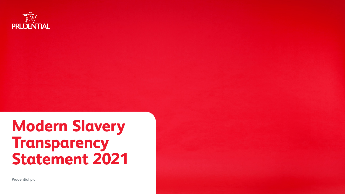

# **Modern Slavery Transparency<br>Statement 2021**

**Prudential plc**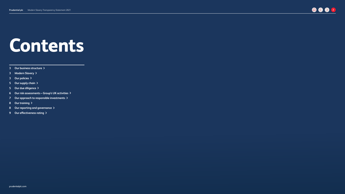## **Contents**

**[Our business structure](#page-2-0)**

**[Modern Slavery](#page-2-1)**

- **[Our policies](#page-2-2)**
- **[Our supply chain](#page-4-0)**
- **[Our due diligence](#page-4-1)**
- **Our risk assessments Group's UK activities**
- **[Our approach to responsible investments](#page-6-0)**
- **[Our training](#page-7-0)**
- **[Our reporting and governance](#page-7-1)**
- **[Our effectiveness rating](#page-8-0)**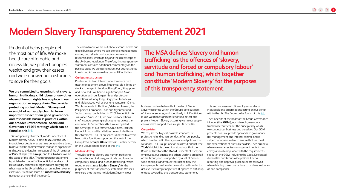### **Modern Slavery Transparency Statement 2021**

Prudential helps people get the most out of life. We make healthcare affordable and accessible, we protect people's wealth and grow their assets and we empower our customers to save for their goals.

**We are committed to ensuring that slavery, human trafficking, child labour or any other abuse of human rights has no place in our organisation or supply chain. We consider protecting against Modern Slavery and oversight of our supply chain to be an important aspect of our good governance and responsible business practices within our broader Environmental, Social and Governance ('ESG') strategy which can be found at this** [link](https://www.prudentialplc.com/esg).

This transparency statement, made under the UK Modern Slavery Act 2015 (the '**MSA**'), for the 2021 financial year, details what we have done, and are doing, to deliver on this commitment in relation to expenditure and activities undertaken in support of the UK activities of Prudential plc (the '**Group**') and its subsidiaries within the scope of the MSA. This transparency statement is published on behalf of Prudential plc and each of its subsidiary commercial organisations carrying on a business in the UK which has an annual turnover in excess of £36 million (each a '**Prudential Subsidiary**', as set out at the end of this report).

The commitment we set out above extends across our global business where we can exercise management control, and reflects our broader commercial responsibilities, which go beyond the direct scope of the UK-based legislation. Therefore, this transparency statement contains additional commentary on the positive steps we are taking across our business units in Asia and Africa, as well as on our UK activities.

#### <span id="page-2-0"></span>**Our business structure**

Prudential plc is an international insurance and asset management group. Prudential plc is listed on stock exchanges in London, Hong Kong, Singapore and New York. We have a significant pan-Asian operation, with our largest life and protection operations in Hong Kong, Singapore, Indonesia and Malaysia, as well as our joint venture in China. We also operate in Thailand, Vietnam, Taiwan, the Philippines, Cambodia, Laos and Myanmar and India, through our holding in ICICI Prudential Life Insurance. Since 2014, we have had operations in Africa, now covering eight countries across the continent. In September 2021, we completed the demerger of our former US business, Jackson Financial Inc., and its activities are excluded from this statement. Our UK presence is limited to certain head office functions supporting the rest of the Group ('**the Group's UK activities**'). Further details on the Group can be found at this [link.](https://www.prudentialplc.com/en/about-us/our-purpose)

#### <span id="page-2-1"></span>**Modern Slavery**

The MSA defines 'slavery and human trafficking' as the offences of 'slavery, servitude and forced or compulsory labour' and 'human trafficking', which together constitute '**Modern Slavery**' for the purposes of this transparency statement. We seek to ensure that there is no Modern Slavery in our

**The MSA defines 'slavery and human trafficking' as the offences of 'slavery, servitude and forced or compulsory labour' and 'human trafficking', which together constitute 'Modern Slavery' for the purposes of this transparency statement.** 

business and we believe that the risk of Modern Slavery occurring within the Group's core business of financial services, and specifically its UK activities, is low. We make significant efforts to detect and prevent Modern Slavery occurring within our supply chains which support the Group's UK activities.

#### <span id="page-2-2"></span>**Our policies**

We require the highest possible standards of professional and ethical conduct of all our people, which is reflected in the organisational policies that we adopt. Our Group Code of Business Conduct (the '**Code**') highlights the ethical standards that the Board of Directors (the '**Board**') expects of itself, our employees, our agents and others working on behalf of the Group, and is supported by a set of Groupwide principles and values that define how the Group expects business to be conducted in order to achieve its strategic objectives. It applies to all Group entities covered by this transparency statement.

This encompasses all UK employees and any individuals and organisations acting on our behalf within the UK. The Code can be found at this [link](https://www.prudentialplc.com/investors/governance-and-policies/code-of-business-conduct).

The Code sits at the heart of the Group Governance Manual (the '**GGM**'), our internal governance framework that sets out the principles by which we conduct our business and ourselves. Our GGM presents our Group-wide approach to governance, risk management and internal control, and is subject to regular review to ensure that we meet the expectations of our stakeholders. Each business where we can exercise management control must certify annual compliance with the requirements set out in the GGM, including the Code, Delegated Authorities and Group-wide policies. Formal reporting and approval procedures are followed when defining corrective actions to address instances of non-compliance.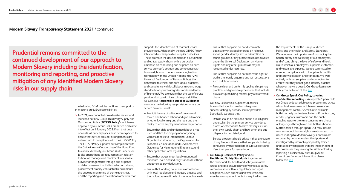**Prudential remains committed to the continued development of our approach to Modern Slavery including the identification, monitoring and reporting, and proactive mitigation of any identified Modern Slavery risks in our supply chain.** 

> The following GGM policies continue to support us in meeting our MSA responsibilities:

**>** In 2021, we conducted an extensive review and launched our new Group Third Party Supply and Outsourcing Policy ('**GTPSO Policy**'), which was approved by our Group Risk Committee and came into effect on 1 January 2022. From that date onwards, all our employees have been expected to ensure that service provider arrangements are entered into in compliance with the GTPSO Policy. The GTPSO Policy supports our compliance with the Guidelines on Outsourcing of the Hong Kong Insurance Authority, our Group Wide Supervisor. It also strengthens our requirements in relation to how we manage and monitor all our service provider arrangements through due diligence and risk assessment activities, selection criteria, procurement probity, contractual requirements, the ongoing monitoring of our relationships, and the reporting and escalation framework that

supports the identification of material service provider risks. Additionally, the new GTPSO Policy introduced our Responsible Supplier Guidelines. These promote the development of a sustainable and ethical supply chain, with a particular emphasis on conducting due diligence on each service provider's position and compliance with human rights and modern slavery legislation (consistent with the United Nations (the '**UN**') Universal Declaration of Human Rights), the adherence to ethical and safe labour practices and compliance with local labour laws and wage standards for spend categories considered to be of higher risk. We are aware that the use of service providers brings with it certain responsibilities. As such, our **Responsible Supplier Guidelines** mandate the following key provisions, where our service providers must:

- Prohibit the use of all types of slavery and forced and bonded labour and give all workers, whether local or migrant, the right and the ability to leave employment when they choose.
- Ensure that child and underage labour is not used and that the employment of young workers adheres to International Labour Organisation standards, the Organisation for Economic Co-operation and Development's Guidelines for Multinational Enterprises, and other applicable local regulations.
- Ensure that wages meet legally mandated minimum levels and industry standards without unauthorised pay deductions.
- Ensure that working hours are in accordance with local regulation and industry practice and that voluntary overtime is at manageable levels.
- Ensure that suppliers do not discriminate against any individual or group on religious, social, gender identity, sexual orientation or ethnic grounds or any protected classes covered under the Universal Declaration on Human Rights and any other grounds as may be recognised under local law.
- Ensure that suppliers do not hinder the right of workers to legally organise and join associations such as labour unions.
- Provide clear and uniformly applied disciplinary practices and grievance procedures that include provisions prohibiting mental, physical or verbal abuse.

Our new Responsible Supplier Guidelines have added specific provisions to govern subcontracting by primary service providers. Specifically, we state that:

- Details should be provided on the due diligence undertaken by the primary service provider to assess whether or not Modern Slavery exists in their own supply chain and how often this due diligence is completed; and
- Service providers should advise if they are aware of any Modern Slavery in their supply chain being conducted by their suppliers or sub-suppliers and, if so, their plans for remediation.

**>** Our **Group Resilience Policy** and our **Health and Safety Standards** together set the framework for health and safety across the Group and also ensure a level of workplace safety commensurate with our regulatory and legal obligations. Each business unit where we can exercise management control is required to meet

the requirements of the Group Resilience Policy and the Health and Safety Standards. We recognise the importance of managing the health, safety and wellbeing of our employees, and of controlling the level of safety and health risk to which our employees, suppliers, customers and visitors are exposed. We are committed to ensuring compliance with all applicable health and safety legislation and standards. We work actively with our suppliers and contractors to ensure that they adopt good industry practice wherever they are based. Our Group Resilience Policy can be found at this [link.](https://www.prudentialplc.com/~/media/Files/P/Prudential-V13/policies-and-statements/group-resilience-policy-mar2022.pdf)

**>** Our **Group Speak Out Policy, covering confidential reporting** – We operate 'Speak Out', our Group-wide whistleblowing programme across all our businesses over which we can exercise management control. Speak Out is available both internally and externally to staff, contractors, vendors, agents, customers and the public, enabling reporters to raise concerns in a choice of languages through web and hotline channels. Matters raised through Speak Out may include concerns about human rights violations, such as issues relating to Modern Slavery. Concerns are recorded by an independent third party and investigated by internal appropriately trained and skilled investigators that are independent of the businesses they investigate. Whistleblowing reporting is overseen by our Group Audit Committee. For more information please follow this [link](https://www.prudentialplc.com/~/media/Files/P/Prudential-V13/policies-and-statements/group-speak-out-policy-mar2022.pdf).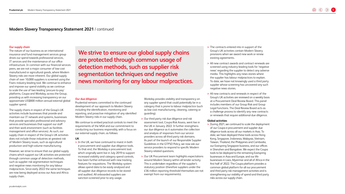#### <span id="page-4-0"></span>**Our supply chain**

The nature of our business as an international insurance and fund management services group drives our spend towards professional services, IT services and the maintenance of our office infrastructure. In common with our financial services peers, we are not a major consumer of low-cost manufactured or agricultural goods, where Modern Slavery risks are more inherent. Our global supply chain of over 10,000 suppliers is screened using the Fiserv industry-leading tool. We continue to enhance and improve our spend visibility as we continue to scale the use of two leading 'procure-to-pay' platforms, Coupa and Workday, across the Group, providing us with increasing transparency on our approximate US\$800 million annual external global supplier spend.

The supply chains in respect of the Group's UK activities include businesses that provide and maintain our IT network and systems, businesses that provide specialist professional and advisory services and businesses that support our staff and their work environment (such as facilities management and office services). As such, our supply chain in respect of the Group's UK activities does not include those industries at greatest risk of Modern Slavery issues, such as agricultural production and high-volume manufacturing.

However, we strive to ensure that our global supply chains which support our UK activities are protected through common usage of detection methods, such as supplier risk segmentation techniques and negative news monitoring for any labour malpractices. Since early 2022 the same techniques are now being deployed across our Asia and Africa supply chain.

**We strive to ensure our global supply chains are protected through common usage of detection methods, such as supplier risk segmentation techniques and negative news monitoring for any labour malpractices.**

#### <span id="page-4-1"></span>**Our due diligence**

Prudential remains committed to the continued development of our approach to Modern Slavery including the identification, monitoring and reporting, and proactive mitigation of any identified Modern Slavery risks in our supply chain.

We continue to embed practical controls to meet the requirements of the MSA and our commitment to conducting our business responsibly, with a focus on our external supply chain, as follows:

#### **UK**

**>** In the UK, we have continued to invest in both e-procurement and supplier due diligence tools. To that end, the Workday e-procurement tool, which originally went live in July 2019 to support increased visibility and category spend controls, has been further enhanced with new tracking features for requisitions. The Workday system allows spend data to be easily analysed and all supplier due diligence records to be stored and audited. All onboarded suppliers are sanction-screened prior to any usage.

Workday provides visibility and transparency on any supplier spend that could potentially be in a category that is prone to labour malpractice (such as low-cost manufacturing, cleaning, catering or guarding).

- **>** Our third party risk due diligence and risk assessment tool, Coupa Risk Assess, went live in the UK in January 2022. It further strengthens our due diligence as it automates the collection and analysis of responses from our service providers across all third party risk domains. As part of the launch of our Responsible Supplier Guidelines in the GTPSO Policy, we now ask our service providers to respond to specific Modern Slavery-related questions.
- **>** Our UK Procurement team highlights expectations around Modern Slavery within all tender activity. This is undertaken regardless of the supplier's statutory position (therefore suppliers under the £36 million reporting threshold themselves are not exempt from our requirements).
- **>** The contracts entered into in support of the Group's UK activities contain Modern Slavery provisions when we award new work or renew existing agreements.
- **>** All new contract awards and contract renewals are screened using industry-leading tools for 'negative news' regarding the supplier to detect any adverse media. This highlights any news stories where the supplier has labour malpractices to explain. To date, we have not knowingly used a third party supplier whose screening has uncovered any such negative news stories.
- **>** All new contracts and renewals in respect of the Group's UK activities are reviewed on a weekly basis at a Procurement Deal Review Board. This panel includes members of our Group Risk and Group Legal functions. The Deal Review Board acts as a challenge process to identify any new contracts or renewals that require additional due diligence.

#### **Global activities**

**>** During 2021, we continued to scale the deployment of our Coupa e-procurement and supplier due diligence tools across all our markets in Asia. To date, we have deployed these tools across Hong Kong, Singapore, Indonesia, Malaysia, Vietnam, Taiwan, Thailand, the Philippines and Cambodia, our Eastspring Singapore business, and our offices in Shenzhen and Bangalore. We expect the Coupa tools to be deployed to the remaining Eastspring businesses in Asia and Europe, and our life businesses in Laos, Myanmar and all of Africa in the first half of 2022. The Coupa platform provides a common global platform for all our procurement and third party risk management activities and is strengthening our visibility of spend and third party risks across our supply chain.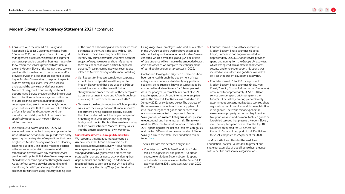**>** Consistent with the new GTPSO Policy and Responsible Supplier Guidelines, effective from 1 January 2022, and as part of our third party risk management processes, we profile and segment our service providers based on business materiality (how critical the services provided to Prudential are and Modern Slavery risk). We ask those service providers that are deemed to be material and/or provide services in areas that are deemed to pose higher Modern Slavery risks to respond to specific Modern Slavery questions, where we seek to understand the service provider's position on Modern Slavery, health and safety and equal opportunities. Service providers in building services (such as facilities maintenance, construction and fit-outs), cleaning services, guarding services, catering services, event management, branded goods not for resale that require low-skilled labour, uniforms for staff and contractors and the manufacture and disposal of IT hardware are specifically targeted with Modern Slavery related questions.

**>** We continue to evolve, and in Q1 2022 we embarked on an exercise to map our approximate US\$800 million per annum Group-wide third party spend against categories of expenditure that pose heightened Modern Slavery risks (such as cleaning, catering, guarding). This spend mapping exercise will allow us to target risk assessment and remediation activities with any material service providers with potential Modern Slavery exposures should these become apparent through this work. As part of our service provider onboarding and monitoring activities, all service providers are screened for sanctions using industry-leading tools

at the time of onboarding and whenever we make payments to them. As is the case with our UK businesses, these screening activities seek to identify any service providers who have been the subject of negative news and identify whether there are connections with politically exposed persons. These screening activities cover topics related to Modern Slavery and human trafficking.

- **>** Our Request for Proposal templates incorporate expectations and provisions with respect to Modern Slavery and these are used in all Group material tender activities. We will further strengthen and embed the use of these templates across our business in Asia and Africa through our e-sourcing platform over the course of 2022.
- **>** To prevent the direct introduction of labour practice issues into the Group, our own Human Resources department's hiring practices globally prevent the hiring of staff without the proper completion of both right-to-work checks and supporting background checks. This is with a view to ensuring that we do not introduce Modern Slavery issues into the organisation via our own workforce.

#### **Our risk assessments – Group's UK activities**

We recognise that facilities management is a risk area where the Group and workers could face exposure to Modern Slavery. All our facilities management suppliers in the UK must have strong Modern Slavery prevention practices and score well in our due diligence activity during their appointments and contracting. In addition, we require all facilities providers to our UK head office functions to pay the Living Wage (and London

Living Wage) to all employees who work at our office in the UK. Our suppliers' workers have access to a whistleblowing hotline to report any Modern Slavery concerns, which is available globally. A similar level of due diligence will continue to be embedded across Asia and Africa as we complete the enhancement of our Global procurement processes in 2022.

Our forward-looking due diligence assessments have been enhanced through the deployment of new category spend analytics to identify any problem suppliers, being suppliers known or suspected to be connected to Modern Slavery, for follow-up or exit. As in the prior year, a complete review of all 2021 supplier spend with UK and international suppliers within the Group's UK activities was carried out in January 2022, as evidenced below. The purpose of this review was to reconfirm that no suppliers fall into those categories of goods and services that are known or suspected to be prone to Modern Slavery abuses ('**Problem Categories**'), nor present a reputational and humanitarian risk. This review used the Walk Free Foundation Index to review the 2021 spend against the defined Problem Categories and the top 100 countries deemed at risk of Modern Slavery. A link to the Walk Free Foundation can be found [here.](https://www.walkfree.org)

The results from this detailed analysis are:

**>** Countries on the Walk Free Foundation Index ranked as highest risk and graded 1 to 30 for exposure to Modern Slavery abuse: No spend activity whatsoever in relation to the Group's UK activities during 2021, consistent with both 2020 and 2019.

**>** Countries ranked 31 to 50 for exposure to Modern Slavery: These countries (Nigeria, Kenya, Cameroon and Togo) accounted for approximately US\$280,000 of service provider spend originating from the Group's UK activities, which was spread across professional services, security and employee support. No spend was incurred on manufactured goods or low-skilled services that present a Modern Slavery risk.

**>** Countries ranked 51 to 100 for exposure to Modern Slavery: These countries (India, Ivory Coast, Zambia, Ghana, Indonesia, and Singapore) accounted for approximately US\$775,000 of service provider spend originating from the Group's UK activities, covering predominantly accommodation costs, market data services, share registration, and IT services and share registration in Singapore. There was minor expenditure elsewhere on property leases and legal services. No spend was incurred on manufactured goods or low-skilled services that present a Modern Slavery risk. The supplier spend across all of the top 100 countries accounted for 0.5 per cent of Prudential's spend in support of its UK activities for 2021, compared to 2.5 per cent for 2020.

In March 2021 we attended the Walk Free Foundation Investor Roundtable to present and share our examples of due diligence best practice with other financial services organisations.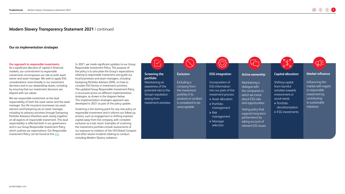#### **Our six implementation strategies**

#### <span id="page-6-0"></span>**Our approach to responsible investments**

As a significant allocator of capital in financial markets, our commitment to responsible investments encompasses our role as both asset owner and asset manager. We seek to apply ESG considerations more broadly in our investment decisions and in our stewardship duties, including by ensuring that our investment decisions are aligned with our values.

We see responsible investment as the dual responsibility of both the asset owner and the asset manager. Our life insurance businesses (as asset owners) and Eastspring (as an asset manager, including its advisory activities through Eastspring Portfolio Advisers) therefore work closely together on all aspects of responsible investment. This dual responsibility is reflected both in our governance and in our Group Responsible Investment Policy, which outlines our expectations. Our Responsible Investment Policy can be found at this [link.](https://www.prudentialplc.com/~/media/Files/P/Prudential-V3/policies-and-statements/group-responsible-investment-policy-07102021.pdf)

In 2021, we made significant updates to our Group Responsible Investment Policy. The purpose of the policy is to articulate the Group's expectations relating to responsible investment and guide our local businesses and asset managers, including Eastspring Portfolio Advisers (EPA), on how to consider ESG factors in investment activities. The updated Group Responsible Investment Policy is structured across six different implementation strategies, as shown in the diagram below. This implementation strategies approach was developed in 2021 as part of the policy update.

Screening is the starting point for any new policy on responsible investment and it informs our follow-up actions, such as engagement or shifting invested capital away from the company, with complete exclusion as a last resort. Examples of screening the investment portfolio include assessments of our exposure to violators of the UN Global Compact and other severe incidents relating to conduct, including Modern Slavery violations.

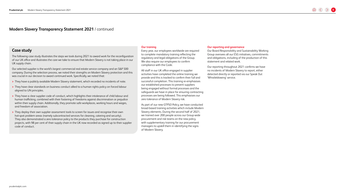#### **Case study**

The following case study illustrates the steps we took during 2021 to award work for the reconfiguration of our UK office and illustrates the care we take to ensure that Modern Slavery is not taking place in our UK supply chain.

Our selected supplier is the world's largest commercial real estate service company and an S&P 500 company. During the selection process, we noted their strengths on Modern Slavery protection and this was crucial in our decision to award continued work. Specifically, we noted that:

- **>** They have a publicly available Modern Slavery statement, which recorded no incidents of note.
- **>** They have clear standards on business conduct allied to a human rights policy on forced labour aligned to UN principles.
- **>** They have a clear supplier code of conduct, which highlights their intolerance of child labour and human trafficking, combined with their fostering of freedoms against discrimination or prejudice within their supply chain. Additionally, they promote safe workplaces, working hours and wages, and freedom of association.
- **>** They deploy their own supplier assessment tools to screen for issues and recognise their own hot-spot problem areas (namely subcontracted services for cleaning, catering and security). They also demonstrated a zero tolerance policy to the products they purchase for construction projects, with 98 per cent of their supply chain in the UK now recorded as signed up to their supplier code of conduct.

#### <span id="page-7-0"></span>**Our training**

Every year, our employees worldwide are required to complete mandatory training reflecting the regulatory and legal obligations of the Group. We also require our employees to confirm compliance with the Code.

All staff in our UK office engaged in supplier activities have completed the online training we provide and this is tracked to confirm their full and successful completion. This training re-emphasises our established processes to prevent suppliers being engaged without formal processes and the safeguards we have in place for ensuring contracting processes are being followed. This emphasises our zero tolerance of Modern Slavery risk.

As part of our new GTPSO Policy, we have conducted broad-based training activities which include Modern Slavery elements. During the second half of 2021, we trained over 200 people across our Group-wide procurement and risk teams on the new policy, with supplementary training for our procurement managers to upskill them in identifying the signs of Modern Slavery.

#### <span id="page-7-1"></span>**Our reporting and governance**

Our Board Responsibility and Sustainability Working Group oversees all our ESG initiatives, commitments and obligations, including of the production of this statement and related work.

Our reporting throughout 2021 confirms we have no incidents of Modern Slavery to report, either detected directly or reported via our Speak Out 'Whistleblowing' service.